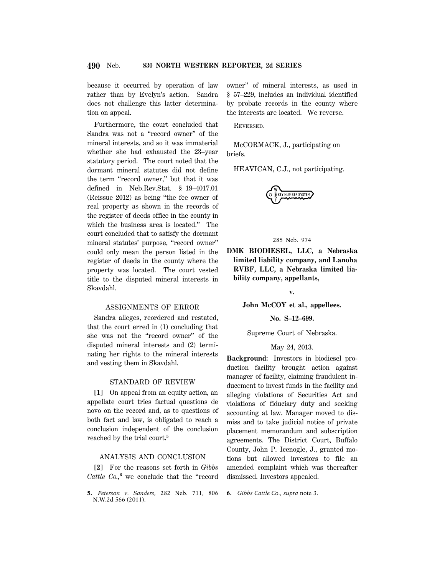because it occurred by operation of law rather than by Evelyn's action. Sandra does not challenge this latter determination on appeal.

Furthermore, the court concluded that Sandra was not a ''record owner'' of the mineral interests, and so it was immaterial whether she had exhausted the 23–year statutory period. The court noted that the dormant mineral statutes did not define the term "record owner," but that it was defined in Neb.Rev.Stat. § 19–4017.01 (Reissue 2012) as being ''the fee owner of real property as shown in the records of the register of deeds office in the county in which the business area is located.'' The court concluded that to satisfy the dormant mineral statutes' purpose, "record owner" could only mean the person listed in the register of deeds in the county where the property was located. The court vested title to the disputed mineral interests in Skavdahl.

# ASSIGNMENTS OF ERROR

Sandra alleges, reordered and restated, that the court erred in (1) concluding that she was not the ''record owner'' of the disputed mineral interests and (2) terminating her rights to the mineral interests and vesting them in Skavdahl.

### STANDARD OF REVIEW

**[1]** On appeal from an equity action, an appellate court tries factual questions de novo on the record and, as to questions of both fact and law, is obligated to reach a conclusion independent of the conclusion reached by the trial court.**<sup>5</sup>**

# ANALYSIS AND CONCLUSION

**[2]** For the reasons set forth in *Gibbs Cattle Co.,***<sup>6</sup>** we conclude that the ''record owner'' of mineral interests, as used in § 57–229, includes an individual identified by probate records in the county where the interests are located. We reverse.

REVERSED.

McCORMACK, J., participating on briefs.

HEAVICAN, C.J., not participating.



# 285 Neb. 974

**DMK BIODIESEL, LLC, a Nebraska limited liability company, and Lanoha RVBF, LLC, a Nebraska limited liability company, appellants,**

**v.**

**John McCOY et al., appellees.**

**No. S–12–699.**

Supreme Court of Nebraska.

# May 24, 2013.

**Background:** Investors in biodiesel production facility brought action against manager of facility, claiming fraudulent inducement to invest funds in the facility and alleging violations of Securities Act and violations of fiduciary duty and seeking accounting at law. Manager moved to dismiss and to take judicial notice of private placement memorandum and subscription agreements. The District Court, Buffalo County, John P. Icenogle, J., granted motions but allowed investors to file an amended complaint which was thereafter dismissed. Investors appealed.

**6.** *Gibbs Cattle Co., supra* note 3.

**<sup>5.</sup>** *Peterson v. Sanders,* 282 Neb. 711, 806 N.W.2d 566 (2011).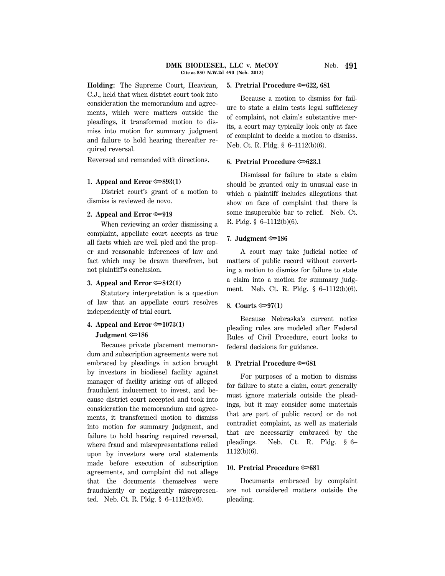**Holding:** The Supreme Court, Heavican, C.J., held that when district court took into consideration the memorandum and agreements, which were matters outside the pleadings, it transformed motion to dismiss into motion for summary judgment and failure to hold hearing thereafter required reversal.

Reversed and remanded with directions.

### **1. Appeal and Error** O**893(1)**

District court's grant of a motion to dismiss is reviewed de novo.

### **2. Appeal and Error** O**919**

When reviewing an order dismissing a complaint, appellate court accepts as true all facts which are well pled and the proper and reasonable inferences of law and fact which may be drawn therefrom, but not plaintiff's conclusion.

## **3. Appeal and Error** O**842(1)**

Statutory interpretation is a question of law that an appellate court resolves independently of trial court.

# **4. Appeal and Error**  $\approx 1073(1)$  **Judgment** O**186**

Because private placement memorandum and subscription agreements were not embraced by pleadings in action brought by investors in biodiesel facility against manager of facility arising out of alleged fraudulent inducement to invest, and because district court accepted and took into consideration the memorandum and agreements, it transformed motion to dismiss into motion for summary judgment, and failure to hold hearing required reversal, where fraud and misrepresentations relied upon by investors were oral statements made before execution of subscription agreements, and complaint did not allege that the documents themselves were fraudulently or negligently misrepresented. Neb. Ct. R. Pldg. § 6–1112(b)(6).

#### **5. Pretrial Procedure**  $\approx 622$ **, 681**

Because a motion to dismiss for failure to state a claim tests legal sufficiency of complaint, not claim's substantive merits, a court may typically look only at face of complaint to decide a motion to dismiss. Neb. Ct. R. Pldg. § 6–1112(b)(6).

### **6. Pretrial Procedure**  $\approx 623.1$

Dismissal for failure to state a claim should be granted only in unusual case in which a plaintiff includes allegations that show on face of complaint that there is some insuperable bar to relief. Neb. Ct. R. Pldg. § 6–1112(b)(6).

# **7. Judgment** O**186**

A court may take judicial notice of matters of public record without converting a motion to dismiss for failure to state a claim into a motion for summary judgment. Neb. Ct. R. Pldg. § 6–1112(b)(6).

# 8. Courts  $\mathfrak{S}$  97(1)

Because Nebraska's current notice pleading rules are modeled after Federal Rules of Civil Procedure, court looks to federal decisions for guidance.

### **9. Pretrial Procedure**  $\approx 681$

For purposes of a motion to dismiss for failure to state a claim, court generally must ignore materials outside the pleadings, but it may consider some materials that are part of public record or do not contradict complaint, as well as materials that are necessarily embraced by the pleadings. Neb. Ct. R. Pldg. § 6– 1112(b)(6).

# **10. Pretrial Procedure**  $\infty$ 681

Documents embraced by complaint are not considered matters outside the pleading.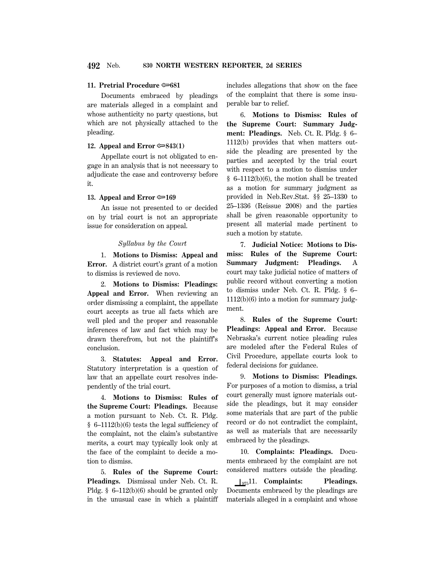### **11. Pretrial Procedure**  $\approx 681$

Documents embraced by pleadings are materials alleged in a complaint and whose authenticity no party questions, but which are not physically attached to the pleading.

# **12. Appeal and Error** O**843(1)**

Appellate court is not obligated to engage in an analysis that is not necessary to adjudicate the case and controversy before it.

### **13. Appeal and Error**  $\approx 169$

An issue not presented to or decided on by trial court is not an appropriate issue for consideration on appeal.

### *Syllabus by the Court*

1. **Motions to Dismiss: Appeal and Error.** A district court's grant of a motion to dismiss is reviewed de novo.

2. **Motions to Dismiss: Pleadings: Appeal and Error.** When reviewing an order dismissing a complaint, the appellate court accepts as true all facts which are well pled and the proper and reasonable inferences of law and fact which may be drawn therefrom, but not the plaintiff's conclusion.

3. **Statutes: Appeal and Error.** Statutory interpretation is a question of law that an appellate court resolves independently of the trial court.

4. **Motions to Dismiss: Rules of the Supreme Court: Pleadings.** Because a motion pursuant to Neb. Ct. R. Pldg. § 6–1112(b)(6) tests the legal sufficiency of the complaint, not the claim's substantive merits, a court may typically look only at the face of the complaint to decide a motion to dismiss.

5. **Rules of the Supreme Court: Pleadings.** Dismissal under Neb. Ct. R. Pldg. § 6–112(b)(6) should be granted only in the unusual case in which a plaintiff includes allegations that show on the face of the complaint that there is some insuperable bar to relief.

6. **Motions to Dismiss: Rules of the Supreme Court: Summary Judgment: Pleadings.** Neb. Ct. R. Pldg. § 6– 1112(b) provides that when matters outside the pleading are presented by the parties and accepted by the trial court with respect to a motion to dismiss under § 6–1112(b)(6), the motion shall be treated as a motion for summary judgment as provided in Neb.Rev.Stat. §§ 25–1330 to 25–1336 (Reissue 2008) and the parties shall be given reasonable opportunity to present all material made pertinent to such a motion by statute.

7. **Judicial Notice: Motions to Dismiss: Rules of the Supreme Court: Summary Judgment: Pleadings.** A court may take judicial notice of matters of public record without converting a motion to dismiss under Neb. Ct. R. Pldg. § 6– 1112(b)(6) into a motion for summary judgment.

8. **Rules of the Supreme Court: Pleadings: Appeal and Error.** Because Nebraska's current notice pleading rules are modeled after the Federal Rules of Civil Procedure, appellate courts look to federal decisions for guidance.

9. **Motions to Dismiss: Pleadings.** For purposes of a motion to dismiss, a trial court generally must ignore materials outside the pleadings, but it may consider some materials that are part of the public record or do not contradict the complaint, as well as materials that are necessarily embraced by the pleadings.

10. **Complaints: Pleadings.** Documents embraced by the complaint are not considered matters outside the pleading.

 $\int_{975}$ 11. **Complaints:** Pleadings. Documents embraced by the pleadings are materials alleged in a complaint and whose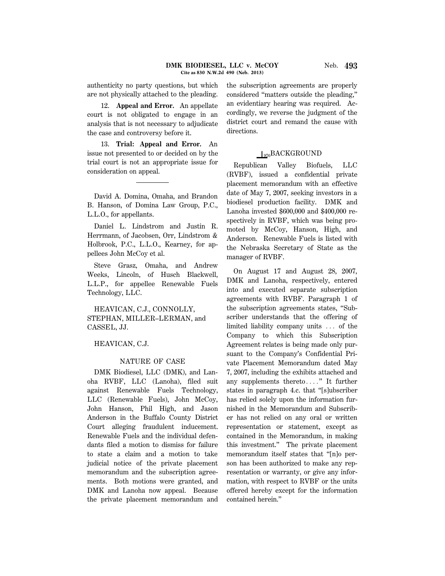authenticity no party questions, but which are not physically attached to the pleading.

12. **Appeal and Error.** An appellate court is not obligated to engage in an analysis that is not necessary to adjudicate the case and controversy before it.

13. **Trial: Appeal and Error.** An issue not presented to or decided on by the trial court is not an appropriate issue for consideration on appeal.

David A. Domina, Omaha, and Brandon B. Hanson, of Domina Law Group, P.C., L.L.O., for appellants.

Daniel L. Lindstrom and Justin R. Herrmann, of Jacobsen, Orr, Lindstrom & Holbrook, P.C., L.L.O., Kearney, for appellees John McCoy et al.

Steve Grasz, Omaha, and Andrew Weeks, Lincoln, of Husch Blackwell, L.L.P., for appellee Renewable Fuels Technology, LLC.

HEAVICAN, C.J., CONNOLLY, STEPHAN, MILLER–LERMAN, and CASSEL, JJ.

# HEAVICAN, C.J.

# NATURE OF CASE

DMK Biodiesel, LLC (DMK), and Lanoha RVBF, LLC (Lanoha), filed suit against Renewable Fuels Technology, LLC (Renewable Fuels), John McCoy, John Hanson, Phil High, and Jason Anderson in the Buffalo County District Court alleging fraudulent inducement. Renewable Fuels and the individual defendants filed a motion to dismiss for failure to state a claim and a motion to take judicial notice of the private placement memorandum and the subscription agreements. Both motions were granted, and DMK and Lanoha now appeal. Because the private placement memorandum and the subscription agreements are properly considered ''matters outside the pleading,'' an evidentiary hearing was required. Accordingly, we reverse the judgment of the district court and remand the cause with directions.

# $\log_{10}BACKGROUND$

Republican Valley Biofuels, LLC (RVBF), issued a confidential private placement memorandum with an effective date of May 7, 2007, seeking investors in a biodiesel production facility. DMK and Lanoha invested \$600,000 and \$400,000 respectively in RVBF, which was being promoted by McCoy, Hanson, High, and Anderson. Renewable Fuels is listed with the Nebraska Secretary of State as the manager of RVBF.

On August 17 and August 28, 2007, DMK and Lanoha, respectively, entered into and executed separate subscription agreements with RVBF. Paragraph 1 of the subscription agreements states, ''Subscriber understands that the offering of limited liability company units  $\ldots$  of the Company to which this Subscription Agreement relates is being made only pursuant to the Company's Confidential Private Placement Memorandum dated May 7, 2007, including the exhibits attached and any supplements thereto...." It further states in paragraph 4.c. that ''[s]ubscriber has relied solely upon the information furnished in the Memorandum and Subscriber has not relied on any oral or written representation or statement, except as contained in the Memorandum, in making this investment.'' The private placement memorandum itself states that ''[n]o person has been authorized to make any representation or warranty, or give any information, with respect to RVBF or the units offered hereby except for the information contained herein.''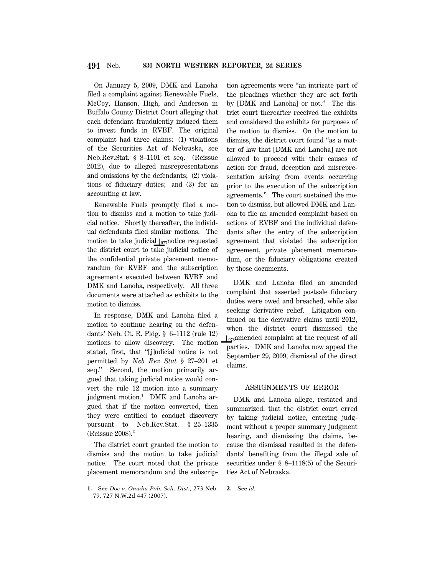On January 5, 2009, DMK and Lanoha filed a complaint against Renewable Fuels, McCoy, Hanson, High, and Anderson in Buffalo County District Court alleging that each defendant fraudulently induced them to invest funds in RVBF. The original complaint had three claims: (1) violations of the Securities Act of Nebraska, see Neb.Rev.Stat. § 8–1101 et seq. (Reissue 2012), due to alleged misrepresentations and omissions by the defendants; (2) violations of fiduciary duties; and (3) for an accounting at law.

Renewable Fuels promptly filed a motion to dismiss and a motion to take judicial notice. Shortly thereafter, the individual defendants filed similar motions. The motion to take judicial  $\int_{977}$ notice requested the district court to take judicial notice of the confidential private placement memorandum for RVBF and the subscription agreements executed between RVBF and DMK and Lanoha, respectively. All three documents were attached as exhibits to the motion to dismiss.

In response, DMK and Lanoha filed a motion to continue hearing on the defendants' Neb. Ct. R. Pldg. § 6–1112 (rule 12) motions to allow discovery. The motion stated, first, that ''[j]udicial notice is not permitted by *Neb Rev Stat* § 27–201 et seq.'' Second, the motion primarily argued that taking judicial notice would convert the rule 12 motion into a summary judgment motion.**<sup>1</sup>** DMK and Lanoha argued that if the motion converted, then they were entitled to conduct discovery pursuant to Neb.Rev.Stat. § 25–1335 (Reissue 2008).**<sup>2</sup>**

The district court granted the motion to dismiss and the motion to take judicial notice. The court noted that the private placement memorandum and the subscription agreements were ''an intricate part of the pleadings whether they are set forth by [DMK and Lanoha] or not.'' The district court thereafter received the exhibits and considered the exhibits for purposes of the motion to dismiss. On the motion to dismiss, the district court found ''as a matter of law that [DMK and Lanoha] are not allowed to proceed with their causes of action for fraud, deception and misrepresentation arising from events occurring prior to the execution of the subscription agreements.'' The court sustained the motion to dismiss, but allowed DMK and Lanoha to file an amended complaint based on actions of RVBF and the individual defendants after the entry of the subscription agreement that violated the subscription agreement, private placement memorandum, or the fiduciary obligations created by those documents.

DMK and Lanoha filed an amended complaint that asserted postsale fiduciary duties were owed and breached, while also seeking derivative relief. Litigation continued on the derivative claims until 2012, when the district court dismissed the  $\frac{1}{978}$ amended complaint at the request of all parties. DMK and Lanoha now appeal the September 29, 2009, dismissal of the direct claims.

### ASSIGNMENTS OF ERROR

DMK and Lanoha allege, restated and summarized, that the district court erred by taking judicial notice, entering judgment without a proper summary judgment hearing, and dismissing the claims, because the dismissal resulted in the defendants' benefiting from the illegal sale of securities under § 8–1118(5) of the Securities Act of Nebraska.

**<sup>1.</sup>** See *Doe v. Omaha Pub. Sch. Dist.,* 273 Neb. 79, 727 N.W.2d 447 (2007).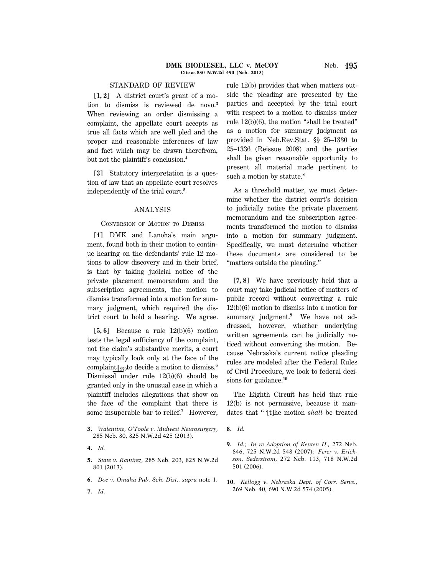# STANDARD OF REVIEW

**[1, 2]** A district court's grant of a motion to dismiss is reviewed de novo.**<sup>3</sup>** When reviewing an order dismissing a complaint, the appellate court accepts as true all facts which are well pled and the proper and reasonable inferences of law and fact which may be drawn therefrom, but not the plaintiff's conclusion.**<sup>4</sup>**

**[3]** Statutory interpretation is a question of law that an appellate court resolves independently of the trial court.**<sup>5</sup>**

### ANALYSIS

# CONVERSION OF MOTION TO DISMISS

**[4]** DMK and Lanoha's main argument, found both in their motion to continue hearing on the defendants' rule 12 motions to allow discovery and in their brief, is that by taking judicial notice of the private placement memorandum and the subscription agreements, the motion to dismiss transformed into a motion for summary judgment, which required the district court to hold a hearing. We agree.

**[5, 6]** Because a rule 12(b)(6) motion tests the legal sufficiency of the complaint, not the claim's substantive merits, a court may typically look only at the face of the complaint  $\int_{979}$ to decide a motion to dismiss.<sup>6</sup> Dismissal under rule 12(b)(6) should be granted only in the unusual case in which a plaintiff includes allegations that show on the face of the complaint that there is some insuperable bar to relief.**<sup>7</sup>** However,

**7.** *Id.*

rule 12(b) provides that when matters outside the pleading are presented by the parties and accepted by the trial court with respect to a motion to dismiss under rule 12(b)(6), the motion ''shall be treated'' as a motion for summary judgment as provided in Neb.Rev.Stat. §§ 25–1330 to 25–1336 (Reissue 2008) and the parties shall be given reasonable opportunity to present all material made pertinent to such a motion by statute.**<sup>8</sup>**

As a threshold matter, we must determine whether the district court's decision to judicially notice the private placement memorandum and the subscription agreements transformed the motion to dismiss into a motion for summary judgment. Specifically, we must determine whether these documents are considered to be ''matters outside the pleading.''

**[7, 8]** We have previously held that a court may take judicial notice of matters of public record without converting a rule 12(b)(6) motion to dismiss into a motion for summary judgment.**<sup>9</sup>** We have not addressed, however, whether underlying written agreements can be judicially noticed without converting the motion. Because Nebraska's current notice pleading rules are modeled after the Federal Rules of Civil Procedure, we look to federal decisions for guidance.**<sup>10</sup>**

The Eighth Circuit has held that rule 12(b) is not permissive, because it mandates that '' '[t]he motion *shall* be treated

**<sup>3.</sup>** *Walentine, O'Toole v. Midwest Neurosurgery,* 285 Neb. 80, 825 N.W.2d 425 (2013).

**<sup>4.</sup>** *Id.*

**<sup>5.</sup>** *State v. Ramirez,* 285 Neb. 203, 825 N.W.2d 801 (2013).

**<sup>6.</sup>** *Doe v. Omaha Pub. Sch. Dist., supra* note 1.

**<sup>8.</sup>** *Id.*

**<sup>9.</sup>** *Id.; In re Adoption of Kenten H.,* 272 Neb. 846, 725 N.W.2d 548 (2007); *Ferer v. Erickson, Sederstrom,* 272 Neb. 113, 718 N.W.2d 501 (2006).

**<sup>10.</sup>** *Kellogg v. Nebraska Dept. of Corr. Servs.,* 269 Neb. 40, 690 N.W.2d 574 (2005).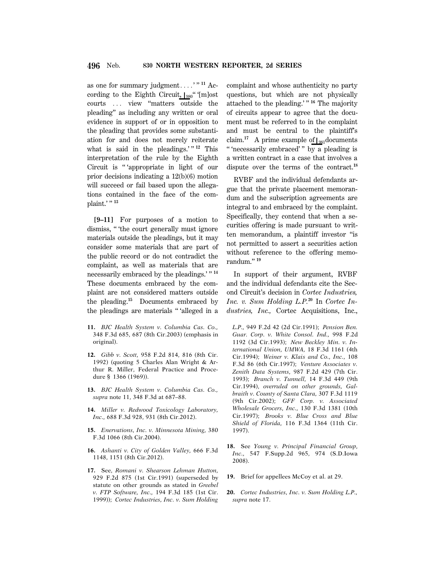as one for summary judgment....'"<sup>11</sup> According to the Eighth Circuit,  $\frac{1}{980}$ " '[m]ost courts ... view "matters outside the pleading'' as including any written or oral evidence in support of or in opposition to the pleading that provides some substantiation for and does not merely reiterate what is said in the pleadings.'"<sup>12</sup> This interpretation of the rule by the Eighth Circuit is "'appropriate in light of our prior decisions indicating a 12(b)(6) motion will succeed or fail based upon the allegations contained in the face of the complaint.' '' **<sup>13</sup>**

**[9–11]** For purposes of a motion to dismiss, '' 'the court generally must ignore materials outside the pleadings, but it may consider some materials that are part of the public record or do not contradict the complaint, as well as materials that are necessarily embraced by the pleadings.' '' **<sup>14</sup>** These documents embraced by the complaint are not considered matters outside the pleading.**<sup>15</sup>** Documents embraced by the pleadings are materials '' 'alleged in a

- **11.** *BJC Health System v. Columbia Cas. Co.,* 348 F.3d 685, 687 (8th Cir.2003) (emphasis in original).
- **12.** *Gibb v. Scott,* 958 F.2d 814, 816 (8th Cir. 1992) (quoting 5 Charles Alan Wright & Arthur R. Miller, Federal Practice and Procedure § 1366 (1969)).
- **13.** *BJC Health System v. Columbia Cas. Co., supra* note 11, 348 F.3d at 687–88.
- **14.** *Miller v. Redwood Toxicology Laboratory, Inc.,* 688 F.3d 928, 931 (8th Cir.2012).
- **15.** *Enervations, Inc. v. Minnesota Mining,* 380 F.3d 1066 (8th Cir.2004).
- **16.** *Ashanti v. City of Golden Valley,* 666 F.3d 1148, 1151 (8th Cir.2012).
- **17.** See, *Romani v. Shearson Lehman Hutton,* 929 F.2d 875 (1st Cir.1991) (superseded by statute on other grounds as stated in *Greebel v. FTP Software, Inc.,* 194 F.3d 185 (1st Cir. 1999)); *Cortec Industries, Inc. v. Sum Holding*

complaint and whose authenticity no party questions, but which are not physically attached to the pleading.' '' **<sup>16</sup>** The majority of circuits appear to agree that the document must be referred to in the complaint and must be central to the plaintiff's claim.<sup>17</sup> A prime example of  $\int_{981}$ documents " 'necessarily embraced' " by a pleading is a written contract in a case that involves a dispute over the terms of the contract.**<sup>18</sup>**

RVBF and the individual defendants argue that the private placement memorandum and the subscription agreements are integral to and embraced by the complaint. Specifically, they contend that when a securities offering is made pursuant to written memorandum, a plaintiff investor ''is not permitted to assert a securities action without reference to the offering memorandum.'' **<sup>19</sup>**

In support of their argument, RVBF and the individual defendants cite the Second Circuit's decision in *Cortec Industries, Inc. v. Sum Holding L.P.***20** In *Cortec Industries, Inc.,* Cortec Acquisitions, Inc.,

*L.P.,* 949 F.2d 42 (2d Cir.1991); *Pension Ben. Guar. Corp. v. White Consol. Ind.,* 998 F.2d 1192 (3d Cir.1993); *New Beckley Min. v. International Union, UMWA,* 18 F.3d 1161 (4th Cir.1994); *Weiner v. Klais and Co., Inc.,* 108 F.3d 86 (6th Cir.1997); *Venture Associates v. Zenith Data Systems,* 987 F.2d 429 (7th Cir. 1993); *Branch v. Tunnell,* 14 F.3d 449 (9th Cir.1994), *overruled on other grounds, Galbraith v. County of Santa Clara,* 307 F.3d 1119 (9th Cir.2002); *GFF Corp. v. Associated Wholesale Grocers, Inc.,* 130 F.3d 1381 (10th Cir.1997); *Brooks v. Blue Cross and Blue Shield of Florida,* 116 F.3d 1364 (11th Cir. 1997).

- **18.** See *Young v. Principal Financial Group, Inc.,* 547 F.Supp.2d 965, 974 (S.D.Iowa 2008).
- **19.** Brief for appellees McCoy et al. at 29.
- **20.** *Cortec Industries, Inc. v. Sum Holding L.P., supra* note 17.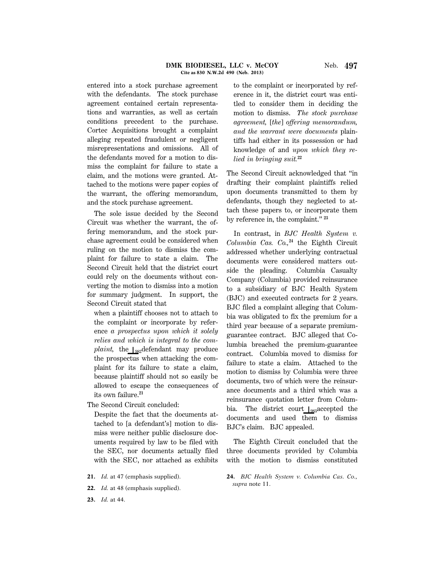entered into a stock purchase agreement with the defendants. The stock purchase agreement contained certain representations and warranties, as well as certain conditions precedent to the purchase. Cortec Acquisitions brought a complaint alleging repeated fraudulent or negligent misrepresentations and omissions. All of the defendants moved for a motion to dismiss the complaint for failure to state a claim, and the motions were granted. Attached to the motions were paper copies of the warrant, the offering memorandum, and the stock purchase agreement.

The sole issue decided by the Second Circuit was whether the warrant, the offering memorandum, and the stock purchase agreement could be considered when ruling on the motion to dismiss the complaint for failure to state a claim. The Second Circuit held that the district court could rely on the documents without converting the motion to dismiss into a motion for summary judgment. In support, the Second Circuit stated that

when a plaintiff chooses not to attach to the complaint or incorporate by reference *a prospectus upon which it solely relies and which is integral to the complaint*, the  $\log_2$ defendant may produce the prospectus when attacking the complaint for its failure to state a claim, because plaintiff should not so easily be allowed to escape the consequences of its own failure.**<sup>21</sup>**

The Second Circuit concluded:

Despite the fact that the documents attached to [a defendant's] motion to dismiss were neither public disclosure documents required by law to be filed with the SEC, nor documents actually filed with the SEC, nor attached as exhibits

- **21.** *Id.* at 47 (emphasis supplied).
- **22.** *Id.* at 48 (emphasis supplied).

**23.** *Id.* at 44.

to the complaint or incorporated by reference in it, the district court was entitled to consider them in deciding the motion to dismiss. *The stock purchase agreement,* [*the*] *offering memorandum, and the warrant were documents* plaintiffs had either in its possession or had knowledge of and *upon which they relied in bringing suit.***<sup>22</sup>**

The Second Circuit acknowledged that ''in drafting their complaint plaintiffs relied upon documents transmitted to them by defendants, though they neglected to attach these papers to, or incorporate them by reference in, the complaint.'' **<sup>23</sup>**

In contrast, in *BJC Health System v. Columbia Cas. Co.,***<sup>24</sup>** the Eighth Circuit addressed whether underlying contractual documents were considered matters outside the pleading. Columbia Casualty Company (Columbia) provided reinsurance to a subsidiary of BJC Health System (BJC) and executed contracts for 2 years. BJC filed a complaint alleging that Columbia was obligated to fix the premium for a third year because of a separate premiumguarantee contract. BJC alleged that Columbia breached the premium-guarantee contract. Columbia moved to dismiss for failure to state a claim. Attached to the motion to dismiss by Columbia were three documents, two of which were the reinsurance documents and a third which was a reinsurance quotation letter from Columbia. The district court  $\frac{1}{983}$ accepted the documents and used them to dismiss BJC's claim. BJC appealed.

The Eighth Circuit concluded that the three documents provided by Columbia with the motion to dismiss constituted

**24.** *BJC Health System v. Columbia Cas. Co., supra* note 11.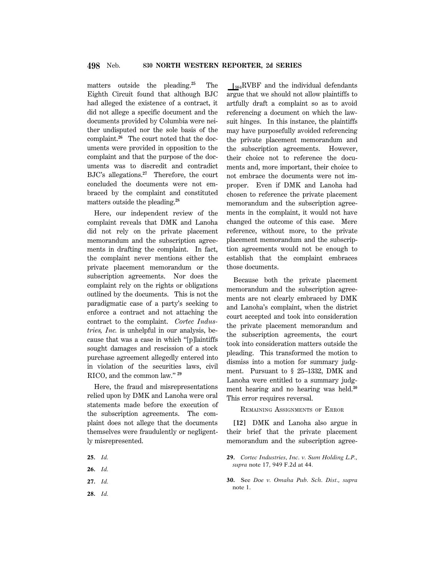matters outside the pleading.**<sup>25</sup>** The Eighth Circuit found that although BJC had alleged the existence of a contract, it did not allege a specific document and the documents provided by Columbia were neither undisputed nor the sole basis of the complaint.**26** The court noted that the documents were provided in opposition to the complaint and that the purpose of the documents was to discredit and contradict BJC's allegations.**<sup>27</sup>** Therefore, the court concluded the documents were not embraced by the complaint and constituted matters outside the pleading.**<sup>28</sup>**

Here, our independent review of the complaint reveals that DMK and Lanoha did not rely on the private placement memorandum and the subscription agreements in drafting the complaint. In fact, the complaint never mentions either the private placement memorandum or the subscription agreements. Nor does the complaint rely on the rights or obligations outlined by the documents. This is not the paradigmatic case of a party's seeking to enforce a contract and not attaching the contract to the complaint. *Cortec Industries, Inc.* is unhelpful in our analysis, because that was a case in which ''[p]laintiffs sought damages and rescission of a stock purchase agreement allegedly entered into in violation of the securities laws, civil RICO, and the common law.'' **<sup>29</sup>**

Here, the fraud and misrepresentations relied upon by DMK and Lanoha were oral statements made before the execution of the subscription agreements. The complaint does not allege that the documents themselves were fraudulently or negligently misrepresented.

- **25.** *Id.*
- **26.** *Id.*
- **27.** *Id.*
- **28.** *Id.*

 $\log_{984}$ RVBF and the individual defendants argue that we should not allow plaintiffs to artfully draft a complaint so as to avoid referencing a document on which the lawsuit hinges. In this instance, the plaintiffs may have purposefully avoided referencing the private placement memorandum and the subscription agreements. However, their choice not to reference the documents and, more important, their choice to not embrace the documents were not improper. Even if DMK and Lanoha had chosen to reference the private placement memorandum and the subscription agreements in the complaint, it would not have changed the outcome of this case. Mere reference, without more, to the private placement memorandum and the subscription agreements would not be enough to establish that the complaint embraces those documents.

Because both the private placement memorandum and the subscription agreements are not clearly embraced by DMK and Lanoha's complaint, when the district court accepted and took into consideration the private placement memorandum and the subscription agreements, the court took into consideration matters outside the pleading. This transformed the motion to dismiss into a motion for summary judgment. Pursuant to § 25–1332, DMK and Lanoha were entitled to a summary judgment hearing and no hearing was held.**<sup>30</sup>** This error requires reversal.

REMAINING ASSIGNMENTS OF ERROR

**[12]** DMK and Lanoha also argue in their brief that the private placement memorandum and the subscription agree-

- **29.** *Cortec Industries, Inc. v. Sum Holding L.P., supra* note 17, 949 F.2d at 44.
- **30.** See *Doe v. Omaha Pub. Sch. Dist., supra* note 1.